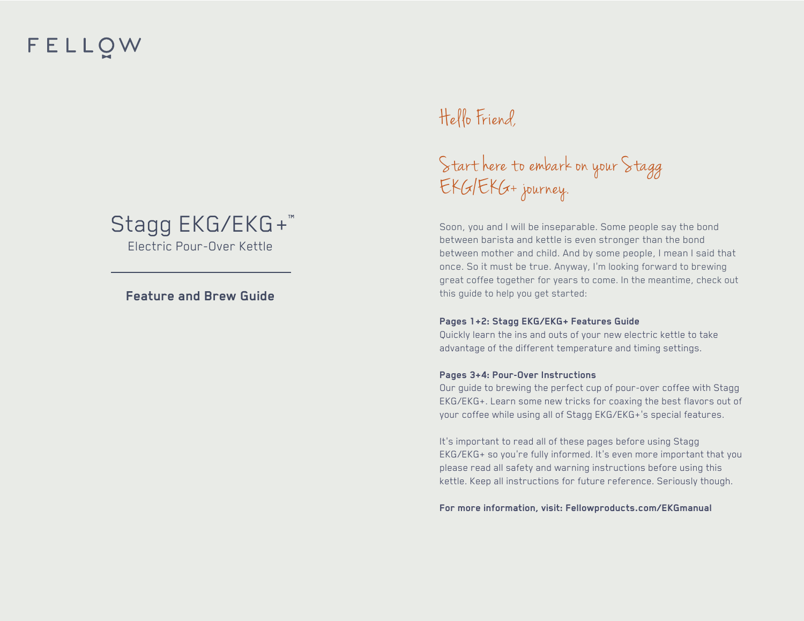# FELLOW

#### Stagg EKG/EKG+ Electric Pour-Over Kettle

#### **Feature and Brew Guide**

### Hello Friend,

# Start here to embark on your Stagg EKG/EKG+ journey.

Soon, you and I will be inseparable. Some people say the bond between barista and kettle is even stronger than the bond between mother and child. And by some people, I mean I said that once. So it must be true. Anyway, I'm looking forward to brewing great coffee together for years to come. In the meantime, check out this guide to help you get started:

#### **Pages 1+2: Stagg EKG/EKG+ Features Guide**

Quickly learn the ins and outs of your new electric kettle to take advantage of the different temperature and timing settings.

#### **Pages 3+4: Pour-Over Instructions**

Our guide to brewing the perfect cup of pour-over coffee with Stagg EKG/EKG+. Learn some new tricks for coaxing the best flavors out of your coffee while using all of Stagg EKG/EKG+'s special features.

It's important to read all of these pages before using Stagg EKG/EKG+ so you're fully informed. It's even more important that you please read all safety and warning instructions before using this kettle. Keep all instructions for future reference. Seriously though.

**For more information, visit: Fellowproducts.com/EKGmanual**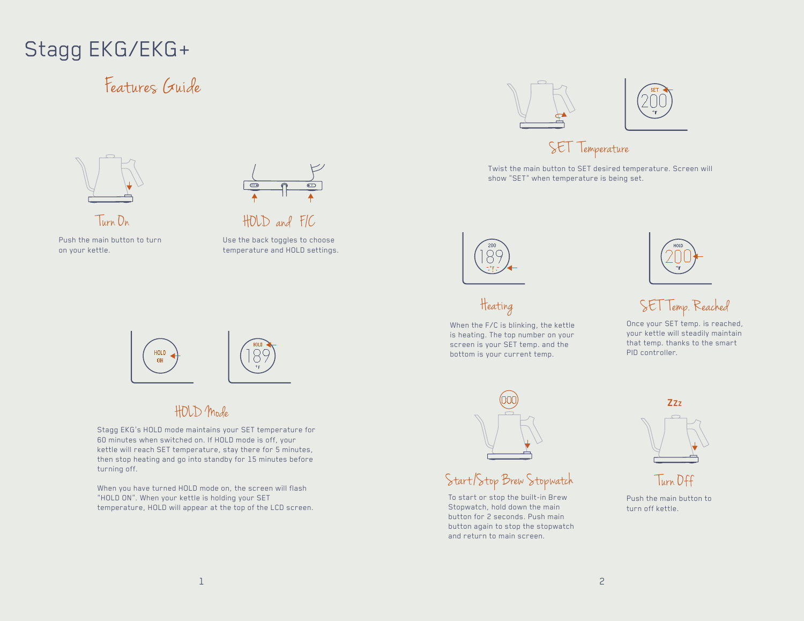# Stagg EKG/EKG+

## Features Guide



Twist the main button to SET desired temperature. Screen will

show "SET" when temperature is being set.



Push the main button to turn on your kettle.



HOLD and F/C

Use the back toggles to choose temperature and HOLD settings.



When the F/C is blinking, the kettle is heating. The top number on your screen is your SET temp. and the bottom is your current temp.



### Heating SE T Temp. Reached

Once your SET temp. is reached, your kettle will steadily maintain that temp. thanks to the smart PID controller.



#### HOLD Mode

Stagg EKG's HOLD mode maintains your SET temperature for 60 minutes when switched on. If HOLD mode is off, your kettle will reach SET temperature, stay there for 5 minutes, then stop heating and go into standby for 15 minutes before turning off.

When you have turned HOLD mode on, the screen will flash "HOLD ON". When your kettle is holding your SET temperature, HOLD will appear at the top of the LCD screen.



#### Start/Stop Brew Stopwatch

To start or stop the built-in Brew Stopwatch, hold down the main button for 2 seconds. Push main button again to stop the stopwatch and return to main screen.



Turn Off

Push the main button to turn off kettle.